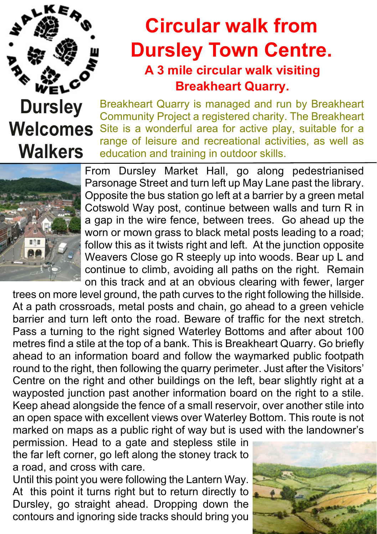

## **Circular walk from Dursley Town Centre. A 3 mile circular walk visiting Breakheart Quarry.**

## **Dursley Welcomes Walkers**

Breakheart Quarry is managed and run by Breakheart Community Project a registered charity. The Breakheart Site is a wonderful area for active play, suitable for a range of leisure and recreational activities, as well as education and training in outdoor skills.



From Dursley Market Hall, go along pedestrianised Parsonage Street and turn left up May Lane past the library. Opposite the bus station go left at a barrier by a green metal Cotswold Way post, continue between walls and turn R in a gap in the wire fence, between trees. Go ahead up the worn or mown grass to black metal posts leading to a road; follow this as it twists right and left. At the junction opposite Weavers Close go R steeply up into woods. Bear up L and continue to climb, avoiding all paths on the right. Remain on this track and at an obvious clearing with fewer, larger

trees on more level ground, the path curves to the right following the hillside. At a path crossroads, metal posts and chain, go ahead to a green vehicle barrier and turn left onto the road. Beware of traffic for the next stretch. Pass a turning to the right signed Waterley Bottoms and after about 100 metres find a stile at the top of a bank. This is Breakheart Quarry. Go briefly ahead to an information board and follow the waymarked public footpath round to the right, then following the quarry perimeter. Just after the Visitors' Centre on the right and other buildings on the left, bear slightly right at a wayposted junction past another information board on the right to a stile. Keep ahead alongside the fence of a small reservoir, over another stile into an open space with excellent views over Waterley Bottom. This route is not marked on maps as a public right of way but is used with the landowner's

permission. Head to a gate and stepless stile in the far left corner, go left along the stoney track to a road, and cross with care.

Until this point you were following the Lantern Way. At this point it turns right but to return directly to Dursley, go straight ahead. Dropping down the contours and ignoring side tracks should bring you